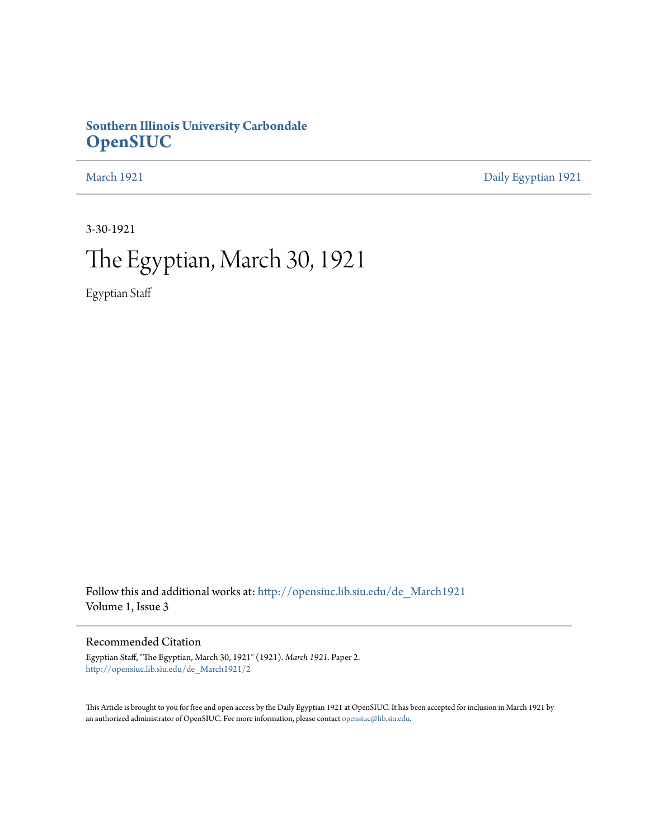### **Southern Illinois University Carbondale [OpenSIUC](http://opensiuc.lib.siu.edu?utm_source=opensiuc.lib.siu.edu%2Fde_March1921%2F2&utm_medium=PDF&utm_campaign=PDFCoverPages)**

[March 1921](http://opensiuc.lib.siu.edu/de_March1921?utm_source=opensiuc.lib.siu.edu%2Fde_March1921%2F2&utm_medium=PDF&utm_campaign=PDFCoverPages) [Daily Egyptian 1921](http://opensiuc.lib.siu.edu/de_1921?utm_source=opensiuc.lib.siu.edu%2Fde_March1921%2F2&utm_medium=PDF&utm_campaign=PDFCoverPages)

3-30-1921

# The Egyptian, March 30, 1921

Egyptian Staff

Follow this and additional works at: [http://opensiuc.lib.siu.edu/de\\_March1921](http://opensiuc.lib.siu.edu/de_March1921?utm_source=opensiuc.lib.siu.edu%2Fde_March1921%2F2&utm_medium=PDF&utm_campaign=PDFCoverPages) Volume 1, Issue 3

#### Recommended Citation

Egyptian Staff, "The Egyptian, March 30, 1921" (1921). *March 1921.* Paper 2. [http://opensiuc.lib.siu.edu/de\\_March1921/2](http://opensiuc.lib.siu.edu/de_March1921/2?utm_source=opensiuc.lib.siu.edu%2Fde_March1921%2F2&utm_medium=PDF&utm_campaign=PDFCoverPages)

This Article is brought to you for free and open access by the Daily Egyptian 1921 at OpenSIUC. It has been accepted for inclusion in March 1921 by an authorized administrator of OpenSIUC. For more information, please contact [opensiuc@lib.siu.edu.](mailto:opensiuc@lib.siu.edu)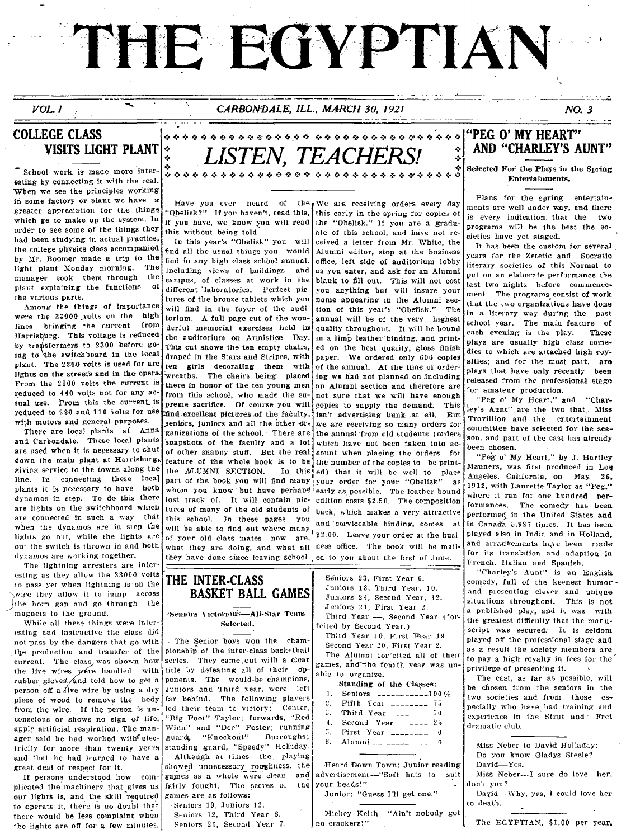# THE EGYPTIAN

#### CARBONDALE, ILL., MARCH 30, 1921

#### NO. 3

#### **COLLEGE CLASS** VISITS LIGHT PLANT

 $VOL. I$ 

School work is made more interesting by connecting it with the real. When we see the principles working in some factory or plant we have a greater appreciation for the things which go to make up the system. In order to see some of the things they had been studying in actual practice, the college physics class accompanied by Mr. Boomer made a trip to the light plant Monday morning. The manager took them through the plant explaining the functions of the various parts.

Among the things of importance were the 33000 yolts on the high lines bringing the current from Harrisburg. This voltage is reduced by transformers to 2300 before going to the switchboard in the local plant. The 2300 volts is used for arc lights on the streets and in the opera From the 2300 volts the current is reduced to 440 volts not for any actual use. From this the current is reduced to 220 and 110 volts for use with motors and general purposes.

There are local plants at Anna and Carbondale. These local plants are used when it is necessary to shut down the main plant at Harrisburg, giving service to the towns along the line. In connecting these local plants it is necessary to have both dynamos in step. To do this there are lights on the switchboard which are connected in such a way that when the dynamos are in step the lights go out, while the lights are out the switch is thrown in and both dynamos are working together.

The lightning arresters are interesting as they allow the 33000 volts to pass yet when lightning is on the wire they allow it to jump across the horn gap and go through the magnets to the ground.

While all these things were interesting and instructive the class did not pass by the dangers that go with the production and transfer of the current. The class was shown how the live wires were handled with rubber gloves, and told how to get a person off a live wire by using a dry piece of wood to remove the body from the wire. If the person is unconscious or shows no sign of life, apply artificial respiration. The manager said he had worked with electricity for more than twenty years and that he had learned to have a great deal of respect for it.

If persons understood how complicated the machinery that gives us our lights is, and the skill required to operate it, there is no doubt that there would be less complaint when the lights are off for a few minutes.

# V, *TEA*C

Have you ever heard of the We are receiving orders every day Obelisk?" If you haven't, read this, if you have, we know you will read the "Obelisk." If you are a graduthis without being told.

In this year's "Obelisk" you will find all the usual things you would find in any high class school annual. Including views of buildings and campus, of classes at work in the different 'laboratories. Perfect pictures of the bronze tablets which you will find in the fover of the anditorium. A full page cut of the wonderful memorial exercises held in the auditorium on Armistice Day. This cut shows the ten empty chairs, draped in the Stars and Stripes, with ten girls decorating them with wreaths. The chairs being placed there in honor of the ten young men from this school, who made the supreme sacrifice. Of course you will find excellent pictures of the faculty, seniors, juniors and all the other organizations of the school. There are snapshots of the faculty and a lot of other shappy stuff. But the realfeature of the whole book is to be the ALUMNI SECTION. In this part of the book you will find many whom you know but have perhaps lost track of. It will contain pictures of many of the old students of this school. In these pages you will be able to find out where many of your old class mates now are. what they are doing, and what all they have done since leaving school.

this early in the spring for copies of ate of this school, and have not received a letter from Mr. White, the Alumni editor, stop at the business office. left side of auditorium lobby as you enter, and ask for an Alumni blank to fill out. This will not cost you anything but will insure your name appearing in the Alumni section of this year's "Obefisk." The annual will be of the very highest quality throughout. It will be hound in a limp leather binding, and printed on the best quality, gloss finish paper. We ordered only 600 copies of the annual. At the time of ordering we had not planned on including an Alumni section and therefore are not sure that we will have enough copies to supply the demand. This isn't advertising hunk at all. But we are receiving so many orders for the annual from old students (orders which have not been taken into account when placing the orders for the number of the conies to be printed) that it will be well to place your order for your "Obelisk" - 25 early as possible. The leather bound edition costs \$2.50. The composition back, which makes a very attractive and serviceable binding, comes at \$2.00. Leave your order at the business office. The book will be mailed to you about the first of June

#### THE INTER-CLASS **BASKET BALL GAMES**

Seniors Victorious-All-Star Team Selected.

- The Senior boys won the championship of the inter-class basketball series. They came out with a clear title by defeating all of their opponents. The would-be champions, Juniors and Third year, were left The following players far behind. led their team to victory: Center, "Big Foot" Taylor; forwards, "Red Winn" and "Doc" Foster; running guard, "Knockout" Burroughs: standing guard, "Speedy" Holliday. Althengh at times the playing

showed unnecessary roughness, the games as a whole were clean and fairly fought. The scores of the

games are as follows: Seniors 19, Juniors 12.

Seniors 12. Third Year 8. Seniors 26, Second Year 7.

Seniors 23, First Year 6. Juniors 18, Third Year, 10. Juniors 24, Second Year, 12. Juniors 21, First Year 2. Third Year -, Second Year (forfeited by Second Year.)

Third Year 10, First Year 19, Second Year 20, First Year 2. The Alumni forfeited all of their games, and the fourth year was unable to organize.

#### Standing of the Classes:

| 1. Seniors | $        100$ % |  |
|------------|-----------------|--|
| -----      |                 |  |

| 2. Fifth Year |  | 75 |
|---------------|--|----|
| ----          |  |    |

- $\mathbf{3}$ . Third Year  $----50$  $\overline{4}$
- Second Year  $_{---}$  25 5. First Year  $\frac{1}{2}$
- $6 -$ Alumni ...
- 

Heard Down Town: Junior reading advertisement-"Soft hats to suit your heads."

Junior: "Guess I'll get one."

Mickey Keith-"Ain't nobody got no crackers!"

# AND "CHARLEY'S AUNT"

Selected For the Plays in the Soring Entertainments,

Plans for the spring entertainments are well under way, and there is every indication, that the two programs will be the best the societies have yet staged.

It has been the custom for several vears for the Zetetic and Socratio literary societies of this Normal to put on an elaborate performance the last two nights before commencement. The programs consist of work that the two organizations have done in a literary way during the past school year. The main feature of each evening is the play. These plays are usually high class comedies to which are attached high royalties; and for the most part, are plays that have only recently been released from the professional stage for amateur production.

"Peg o' My Heart," and "Charley's Aunt" are the two that. Miss Trovillion and the entertainment committee have selected for the season, and part of the cast has already been chosen.

"Peg o' My Heart," by J. Hartley Manners, was first produced in Los Angeles, California, on May. 26, 1912, with Laurette Taylor as "Peg." where it ran for one hundred performances. The comedy has been performed in the United States and in Canada 5,987 times. It has been played also in India and in Holland, and arrangements have been made for its translation and adaption in French, Italian and Spanish,

"Charley's Aunt" is an English comedy, full of the keenest humor and presenting clever and unique situations throughout. This is not a published play, and it was with the greatest difficulty that the manuscript was secured. It is seldom played off the professional stage and as a result the society members are to pay a high royalty in fees for the privilege of presenting it.

The cast, as far as possible, will be chosen from the seniors in the two societies and from those especially who have had training and experience in the Strut and Fret dramatic club

Miss Neber to David Holladay: Do you know Gladys Steele? David Ves

Miss Neber--- I sure do love her, don't you?

Dayid-Why, yes, I could love her to death.

The EGYPTIAN, \$1.00 per year.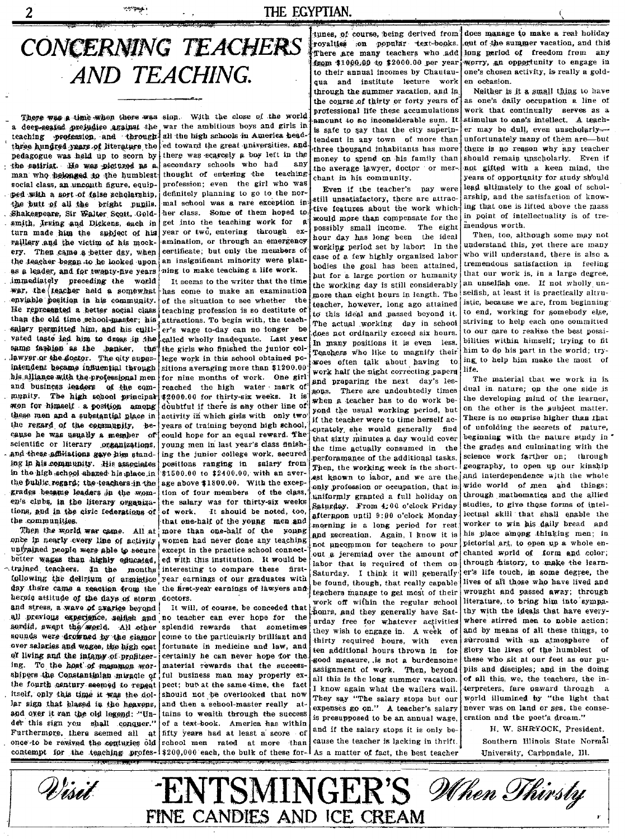#### THE EGYPTIAN.

# CONCERNING TEACHERS AND TEACHING.

a deep-seated prejudice against the war the ambitious boys and girls in teaching profession, and through all the high schools in America headthree hundred years of literature the pedagogue was held up to scorn by the satirist. He was plotuzed as a man who helonged to the humblest. social class, an uncouth figure, equipped with a sort of false scholarship. the butt of all the bright pupils. Shakespeare, Sir Walter Scott, Goldsmith, Jrving and Dickens, each in turn made him the subject of his raillery and the victim of his mockery. Then came a better day, when the teacher began to be looked upon as a leader, and for twenty-five years immediately preceding the world war, the teacher held a somewhat enviable position in his community. He represented a hetter social class than the old time school-master; his salary nermitted him, and his cultivated taste led him to dress in the same fashion as the banker, the lawyer or the doctor. The oity superintendent became influential through his alliance with the professional men and business leaders of the community. The high school principal won for himself a position among these men and a substantial place in the regard of the community, because he was usually a member of scientific or literary organizations. and these affiliations gave him standing in his community. His associates in the high-school shared his place in the fublic regard; the teachers in the grades became leaders in the women's clubs, in the literary organizations, and in the civic federations of the communities.

2

Then the world war came. All at once in nearly every line of activity untrained people were able to secure better wages than highly educated. trained teachers. In the months following the delirium of anmistice day there came a reaction from the heroic attitude of the days of storm and stress, a wave of avarice beyond all previous experience, seifish and sordid, swept the world. All other sounds were drowned by the clamor over salaries and wages, the high cost of living and the intemy of profiteering. To the host of mammon worshipers the Constantinian miracle of the fourth century seemed to repeat itself, only this time it was the dollar sign that plazed in the heavens, and over it ran the old legend: "Under this sign you shall conquer.' Furthermore, there seemed all **at** once to be rewived the centuries old contempt for the teaching profes-1\$200,000 each, the bulk of these for-1 As a matter of fact, the best teacher

There was a time when there was sinn. With the close of the world ed toward the great universities, and there was scarcely a boy left in the secondary schools who had any thought of entering the teaching profession; even the girl who was definitely planning to go to the normal school was a rare exception in her class. Some of them hoped to get into the teaching work for year or two, entering through examination, or through an emergency certificate; but only the members of an insignificant minority were planning to make teaching a life work.

> It seems to the writer that the time has come to make an examination of the situation to see whether the teaching profession is so destitute of attractions. To begin with, the teacher's wage to-day can no longer be called wholly inadequate. Last year the girls who finished the junior college work in this school obtained po sitions averaging more than \$1200.00 for nine months of work. One girl' reached the high water mark of \$2000.00 for thirty-six weeks. It is doubtful if there is any other line of activity in which girls with only two years of training beyond high school could hope for an equal reward. The young men in last year's class finishing the junior college work, secured positions ranging in salary from \$1500.00 to \$2400.00, with an aver age above \$1800.00. With the exception of four members of the class. the salary was for thirty-six weeks of work. It should be noted, too. that ene-half of the young men and more than one-half of the young women had never done any teaching except in the practice school connected with this institution. It would be interesting to compare these firstyear earnings of our graduates with the first-year earnings of lawvers and doctors.

> It will, of course, be conceded that no teacher can ever hope for the splendid rewards that sometimes come to the particularly brilliant and fortunate in medicine and law, and certainly he can never bone for the material rewards that the success ful business man may properly expect: but at the same time, the fact should not be overlooked that now and then a school-master really attains to wealth through the success of a text-hook - America has within fifty years had at least a score of school men rated at more than

tunes, of course, being derived from does manage to make a real holiday royalties on popular text-books. from \$1000.00 to \$2000.00 per year to their annual incomes by Chautauqua and institute lecture work through the summer vacation, and in the course of thirty or forty years of professional life these accumulations amount to no inconsiderable sum. It is safe to say that the city superintendent in any town of more than three thousand inhabitants has more money to spend on his family than the average lawyer, doctor or mer chant in his community.

Even if the teacher's pay were still unsatisfactory, there are attractive features about the work which would more than compensate for the possibly small income. The eight hour day has long been the ideal working period set by labor. In the case of a few highly organized labor bodies the goal has been attained, but for a large portion or humanity the working day is still considerably more than eight hours in length. The teacher, however, long ago attained to this ideal and passed beyond it. The actual working day in school does not ordinarily exceed six hours. In many positions it is even less. Teachers who like to magnify their woes often talk about having to work half the night correcting papers and preparing the next day's lesgons. There are undoubtedly times when a teacher has to do work bevond the usual working period, but if the teacher were to time herself accurately she would generally find that sixty minutes a day would cover the time actually consumed in the perforamance of the additional tasks. Then, the working week is the shortast known to labor, and we are the only profession or occupation, that is uniformly granted a full holiday on Saturday. From 4:00 o'clock Friday afternoon until 9:00 o'clock Monday morning is a long period for rest. and recreation. Again, I know it is not uncommon for teachers to nour out a jeremiad over the amount of labor that is required of them on-Saturday. I think it will generally be found, though, that really capable teachers manage to get most of their work off within the regular school hours, and they generally have Saturday free for whatever activities they wish to engage in. A week of thirty required hours, with even ten additional hours thrown in for good measure, is not a burdensome assignment of work. Then, beyond all this is the long summer vacation. I know again what the wailers wail. They say "The salary stops but our expenses go on." A teacher's salary is presupposed to be an annual wage. and if the salary stops it is only be-

cause the teacher is lacking in thrift.

out of the summer vacation, and this There are many teachers who add long period of freedom from any worry, an opportunity to engage in one's chosen activity, is really a golden occasion.

Neither is it a small thing to have as one's daily occupation a line of work that continually serves as a stimulus to one's intellect. A teacher may be dull, even unscholarlyunfortunately many of them are-but there is no reason why any teacher should remain unscholarly. Even if not gifted with a keen mind, the years of opportunity for study should lead ultimately to the goal of scholarship, and the satisfaction of knowing that one is lifted above the mass in point of intellectuality is of tremendous worth.

Then, too, although some may not understand this, yet there are many who will understand, there is also a tremendous satisfaction in feeling that our work is, in a large degree, an unselfish one. If not wholly unselfish, at least it is practically altruistic, because we are, from beginning to end, working for somebody else, striving to help each one committed to our care to realize the best possibilities within himself; trying to fit him to do his part in the world; trying to help him make the most of life.

The material that we work in is dual in nature; on the one side is the developing mind of the learner. on the other is the aubject matter. There is no emprise higher than that of unfolding the secrets of pature, beginning with the nature study in the grades and culminating with the science work farther on: through geography, to open up our kinship and interdependence with the whole wide world of men and things: through mathematics and the allied studies, to give those forms of intellectual skill that shall enable the worker to win his daily bread and his place among thinking men; in pictorial art, to open up a whole enchanted world of form and color: through history, to make the learner's life touch, in some degree, the lives of all those who have lived and wrought and passed away: through literature, to bring him into sympathy with the ideals that have everywhere stirred men to noble action; and by means of all these things, to surround with an atmosphere Ωf glory the lives of the humblest of these who sit at our feet as our pupils and disciples; and in the doing of all this, we, the teachers, the interpreters, fare onward through a world illumined by "the light that never was on land or sea, the consecration and the poet's dream.'

H. W. SHRYOCK, President. Southern Illinois State Normal University, Carbondale, Ill.

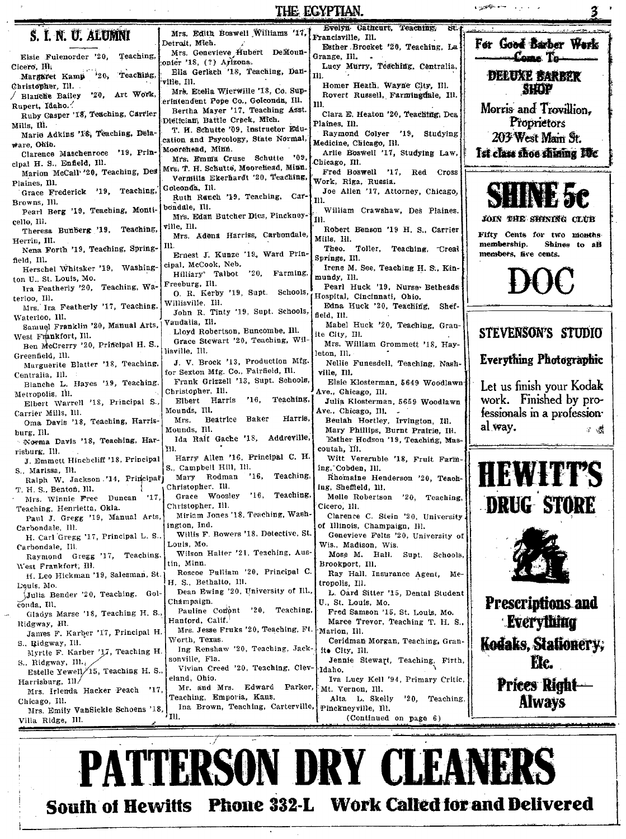|                                                            | THE EGYPTIAN.                                                              | <b>Contractor</b> Contractor<br>3                                    |                                    |
|------------------------------------------------------------|----------------------------------------------------------------------------|----------------------------------------------------------------------|------------------------------------|
| S. I. N. U. ALUMNI                                         | Mrs. Edith Boswell Williams '17,                                           | Evelyn Cathcurt, Teaching,<br>Bt.<br>Francisville, Ill.              |                                    |
|                                                            | Detrait, Mich.                                                             | Esther Brocket '20, Teaching, La                                     | For Good Barber Work               |
| Elsie Fulenorder '20,<br>Teaching,                         | Mrs. Genevieve Hubert DeMoun-<br>onier '18, (?) Arizona.                   | Grange, Ill.                                                         | -Come To-                          |
| Cicero, Hi.<br>Teaching.<br>20,<br>Margaret Kamp           | Ella Gerlach '18, Teaching, Dan-                                           | Lucy Murry, Teaching, Centralia,<br>111.                             | DELUXE BARBER                      |
| Christopher, Ill.                                          | 'ville, Ill.<br>Mrs. Etella Wierwille '18, Co. Sup-                        | Homer Heath, Wayne City, Ill.                                        | <b>SHOP</b>                        |
| / Blanche Bailey '20, Art Work,                            | erintendent Pope Co., Golconda, Ill.                                       | Rovert Russell, Farmingdale, Ill.<br>ш.                              |                                    |
| Rupert, Idaho.<br>Ruby Casper '18, Teaching, Carrier       | Bertha Mayer '17, Teaching Asst.                                           | Clara E. Heaton '20, Teaching, Des                                   | Morris and Trovillion.             |
| Mills, Ill.                                                | Dietician, Battle Creek, Mich.<br>T. H. Schutte '09, Instructor Edu-       | Plaines, Ill.                                                        | Proprietors                        |
| Marie Adkins '18, Teaching, Dela-<br>$\#$ are. Ohio.       | cation and Psycology, State Normal,                                        | Raymond Colyer '19, Studying<br>Medicine, Chicago, Ill.              | 203 West Main St.                  |
| Clarence Maschenroce '19, Prin-                            | Moorehead, Minn.                                                           | Arlie Boswell '17, Studying Law,                                     | Ist class shoe shunng Ifte         |
| cipal H. S., Enfield, Ill.                                 | Mrs. Emma Cruse Schutte '09<br>Mrs. T. H. Schutte, Moorehead, Minn.        | Chicago, Ill.                                                        |                                    |
| Marion McCall '20, Teaching, Des<br>Plaines, Ill.          | Vermilia Ekerhardt '20, Teaching,                                          | Fred Boswell '17, Red Cross<br>Work, Riga, Russia.                   |                                    |
| Grace Frederick '19, Teaching,                             | Golconda, Ill.<br>Ruth Ranch '19, Teaching, Car-                           | Joe Allen '17, Attorney, Chicago,                                    |                                    |
| Browns, Ill.                                               | bondale, Ill.                                                              | 111.                                                                 |                                    |
| Pearl Berg '19, Teaching, Monti-<br>cello, Ill.            | Mrs. Edan Butcher Dies, Pinckney-                                          | William Crawshaw, Des Plaines.<br>HI.                                | JOIN THE SHINING CLUB              |
| Theresa Bunberg '19, Teaching,                             | ville, Ill.<br>Mrs. Adena Harriss, Carbondale,                             | Robert Benson '19 H. S., Carrier                                     | Fifty Cents for two months         |
| Herrin, III.<br>Nena Forth '19, Teaching, Spring-          | Ill.                                                                       | Mills, Ill.<br>Theo. Toller, Teaching, Creat                         | membership.<br>Shines to all       |
| field, Ill.                                                | Ernest J. Kunze '19, Ward Prin-                                            | Springs, Ill.                                                        | members, five cents.               |
| Herschel Whitsker '19, Washing-                            | cipal, McCook, Neb.<br>$20$ , Farming,<br>Hilliary <sup>3</sup> Talbot     | Irene M. See, Teaching H. S., Kin-                                   |                                    |
| ton U., St. Louis, Mo.<br>Ira Featherly '20, Teaching, Wa- | Freeburg, Ill.                                                             | mundy, Ill.<br>Pearl Huck '19, Nurse-Bethesda                        | $\mathcal{H}(\mathcal{H})$         |
| terloo, III.                                               | O. R. Kerby '19, Supt. Schools,                                            | Hospital, Cincinnati, Ohio.                                          |                                    |
| Mrs. Ira Featherly '17, Teaching,                          | Willisville,Ill.<br>John R. Tinty '19, Supt. Schools,                      | Edna Huck '20, Teaching,<br>Shef-<br>field, Ill.                     |                                    |
| Waterloo, Ill.<br>Samuel Franklin '20, Manual Arts,        | Vandalia, Ill.                                                             | Mabel Huck '20, Teaching, Gran-                                      |                                    |
| West Frankfort, Ill.                                       | Lloyd Robertson, Buncombe, Ill.<br>Grace Stewart '20, Teaching, Wil-       | ite City, Ill.                                                       | STEVENSON'S STUDIO                 |
| Ben McCrerry '20, Principal H. S.,                         | lisville, Ill.                                                             | Mrs. William Grommett '18, Hay-<br>leton, Ill.                       |                                    |
| Greenfield, Ill.<br>Marguerite Blatter '18, Teaching,      | J. V. Brock '13, Production Mfg.                                           | Nellie Funesdell, Teaching, Nash-                                    | <b>Everything Photographic</b>     |
| Centralia, Ill.                                            | for Sexton Mfg. Co., Fairfield, Ill.<br>Frank Grizzell '13, Supt. Schools, | ville, Ill.                                                          |                                    |
| Blanche L. Hayes '19, Teaching.                            | Christopher, Ill.                                                          | Elsie Klosterman, 5649 Woodlawn<br>Ave., Chicago, Ill.               | Let us finish your Kodak           |
| Metropolis, Ill.<br>Elbert Warrell '18, Principal S.,      | '16, Teaching,<br>Elbert Harris                                            | Julia Klosterman, 5659 Woodlawn                                      | work. Finished by pro-             |
| Carrier Mills, Ill.                                        | Mounds, Ill.<br>Harris,<br>Beatrice Baker<br>Mrs.                          | Ave., Chicago, Ill.                                                  | fessionals in a profession-        |
| Oma Davis '18, Teaching, Harris-<br>burg, Ill.             | Mounds, Ill.                                                               | Beulah Hortley, Irvington, Ill.<br>Mary Phillips, Burnt Pratrie, IH. | al way.<br>工程                      |
| Norma Davis '18, Teaching, Har-                            | Ida Raif Gache '18, Addreville,                                            | Esther Hodson '19, Teaching, Mas-                                    |                                    |
| risburg, Ill.                                              | YII.<br>Harry Allen '16, Principal C. H.                                   | coutah, Ill.<br>Witt Vereruble '18, Fruit Farm-                      |                                    |
| J. Emmett Hinchcliff '18, Principal<br>S., Marissa, Ill.   | S., Campbell Hill, Ill.                                                    | ing, Cobden, Ill.                                                    |                                    |
| Ralph W. Jackson '14, Principal'                           | Teaching,<br>Mary Rodman<br>16,                                            | Rhomaine Henderson '20, Teach-                                       | <b>HEWITT'S</b>                    |
| T. H. S., Benton, Ill.<br> 17. <br>Mrs. Winnie Free Duncan | Christopher. Ill.<br>Grace Woosley '16, Teaching,                          | ing, Sheffield, 111.<br>Melle Robertson '20, Teaching,               |                                    |
| Teaching, Henrietta, Okla.                                 | Christopher, Ill.                                                          | Cicero, Ill.                                                         | nnin<br>atant<br><b>DRUG PIORE</b> |
| Paul J. Gregg '19, Manual Arts,                            | Miriam Jones '18, Teaching, Wash-<br>ington, Ind.                          | Clarence C. Stein '20, University                                    |                                    |
| Carbondale, Ill.<br>H. Carl Gregg '17, Principal L. S      | Willis F. Bowers '18, Detective, St.                                       | of Illinois, Champaign, Ill.<br>Genevieve Felts '20, University of   |                                    |
| Carbondale, Ill.                                           | Louis, Mo.                                                                 | Wis., Madison, Wis.                                                  |                                    |
| Raymond Gregg '17, Teaching.                               | Wilson Halter '21, Teaching, Aus-<br>tin, Minn.                            | Mose M. Hall. Supt. Schools,<br>Brookport, Ill.                      |                                    |
| West Frankfort, Ill.<br>H. Leo Hickman '19, Salesman, St.  | Roscoe Pulliam '20, Principal C.                                           | Ray Hall. Insurance Agent, Me-                                       |                                    |
| Louis, Mo.                                                 | H. S., Bethalto, Ill.<br>Dean Ewing '20, University of Ill.,               | tropolis, Ill.                                                       |                                    |
| Julia Bender '20, Teaching. Gol-                           | Champaign.                                                                 | L. Oard Sitter '15, Dental Student<br>U., St. Louis, Mo.             | <b>Prescriptions and</b>           |
| conda, Ill.<br>Gladys Marse '18, Teaching H. S.,           | Pauline Comont '20, Teaching,                                              | Fred Samson '15, St. Louis, Mo.                                      |                                    |
| Ridgway, HI.                                               | Hanford, Calif.<br>Mrs. Jesse Fruks '20, Teaching, Ft.                     | Maree Trevor, Teaching T. H. S.,                                     | <b>Everything</b>                  |
| James F. Karber '17, Principal H.<br>S., Ridgway, Ill.     | Worth, Texas.                                                              | Marion, Ill.<br>Ceridman Morgan, Teaching, Gran-                     | Kodaks, Stationery;                |
| Myrtle F. Karber '17, Teaching H.                          | Ing Renshaw '20, Teaching, Jack-                                           | ite City, Ill.                                                       |                                    |
| S., Ridgway, Ill.                                          | sonville, Fla.<br>Vivian Creed '20, Teaching, Clev- Idaho.                 | Jennie Stewart, Teaching, Firth,                                     | Etc.                               |
| Estelle Yewell/15, Teaching H. S.,<br>Harrisburg, Ill.     | eland, Ohio.                                                               | Iva Lucy Kell '94, Primary Critic,                                   |                                    |
| Mrs. Irlenda Hacker Peach '17,                             | Mr. and Mrs. Edward Parker,                                                | Mt. Vernon, Ill.                                                     | <b>Prices Right-</b>               |
| Chicago, Ill.                                              | Teaching, Emporia, Kans.<br>Ina Brown, Teaching, Carterville,              | Alta L. Skelly<br>'20,<br>Teaching,<br>Pinckneyville, Ill.           | <b>Always</b>                      |
| Mrs. Emily VanSickle Schoens '18,<br>Villa Ridge, Ill.     | $n_{\rm H}$                                                                | (Continued on page 6)                                                |                                    |
|                                                            |                                                                            |                                                                      |                                    |
|                                                            |                                                                            |                                                                      |                                    |

# PATTERSON DRY CLEANERS South of Hewitts Phone 332-L Work Called for and Delivered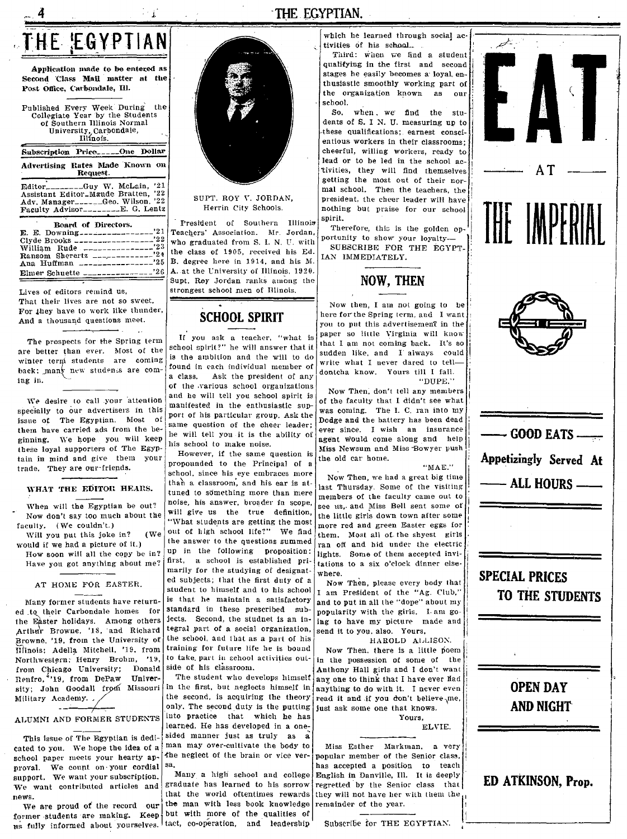# THE EGYPTIAN

Application made to be entered as Second Class Mail matter at the Post Office, Carbondale, Ill.

Published Every Week During the Collegiate Year by the Students<br>of Southern Illinois Normal University, Carbondale,

#### Subscription Price\_\_\_\_\_One Dollar Advertising Rates Made Known on Request.

-Guy W. McLain, '21 Editor 

Board of Directors. E. E. Downing..............  $'21$ Clyde Brooks.  $, 22$ --------------'23 William Rude  $19.4$  $^{\degree}25$ Ana Huffman \_\_\_\_\_\_ 

Lives of editors remind us, That their lives are not so sweet, For they have to work like thunder, And a thousand questions meet.

The prospects for the Spring term are better than ever. Most of the winter term students are coming back; many new students are coming in.

We desire to call your attention specially to our advertisers in this issue of The Egyptian. Most of them have carried ads from the beginning. We hope you will keep these loyal supporters of The Egyptain in mind and give them your trade. They are our friends.

#### WHAT THE EDITOR HEARS.

When will the Egyptian be out? Now don't say too much about the faculty. (We couldn't.)

Will you put this joke in?  $(We$ would if we had a picture of it.) How soon will all the copy be in?

Have you got anything about me?

#### AT HOME FOR EASTER.

Many former students have returned to their Carbondale homes for the Easter holidays. Among others Arthur Browne, '18, and Richard Browne, '19, from the University of Illinois; Adella Mitchell, '19. from Northwestern; Henry Brohm, '19, from Chicago University; Donald Renfro, ''19, from DePaw University; John Goodall from Missouri Military Academy.

#### ALUMNI AND FORMER STUDENTS

 $-$ 

This issue of The Egyptian is dedicated to you. We hope the idea of a school paper meets your hearty approval. We count on your cordial support. We want your subscription. We want contributed articles and news.

We are proud of the record our former students are making. Keep us fully informed about yourselves. tact, co-operation, and leadership



#### SUPT. ROY V. JORDAN. Herrin City Schools.

President of Southern Illinois Teachers' Association. Mr. Jordan, who graduated from S. I. N. U. with the class of 1905, received his Ed. B. degree here in 1914, and his M. A. at the University of Illinois, 1920. Supt. Rey Jordan ranks among the strongest school men of Hlinois.

#### **SCHOOL SPIRIT**

If you ask a teacher, "what is school spirit?" he will answer that it is the ambition and the will to do found in each individual member of a class. Ask the president of any

of the various school organizations and he will tell you school spirit is manifested in the enthusiastic support of his particular group. Ask the same question of the cheer leader; he will tell you it is the ability of his school to make noise.

However, if the same question is propounded to the Principal of a school, since his eye embraces more than a classroom, and his ear is attuned to something more than mere noise, his answer, broader in scope. will give us the true definition. "What students are getting the most out of high school life?" We find the answer to the questions summed up in the following proposition: first, a school is established primarily for the studying of designated subjects; that the first duty of a student to himself and to his school is that he maintain a satisfactory standard in these prescribed subjects. Second, the studnet is an integral part of a social organization, the school, and that as a part of his training for future life he is bound to take, part in school activities outside of his classroom.

The student who develops himself in the first, but neglects himself in the second, is acquiring the theory only. The second duty is the putting into practice that which he has learned. He has developed in a onesided manner just as truly as a man may over-cultivate the body to the neglect of the brain or vice ver-

Many a high school and college graduate has learned to his sorrow that the world oftentimes rewards the man with less book knowledge but with more of the qualities of

which he learned through social activities of his school.

Third: when we find a student qualifying in the first and second stages he easily becomes a loyal enthusiastic smoothly working part of the organization known as our school.

So, when, we find the students of S. I N. U. measuring up to these qualifications; earnest conscientious workers in their classrooms; cheerful, willing workers, ready to lead or to be led in the school activities, they will find themselves getting the most out of their normal school. Then the teachers, the president, the cheer leader will have nothing but praise for our school spirit.

Therefore, this is the golden opportunity to show your loyalty-SUBSCRIBE FOR THE EGYPT-IAN IMMEDIATELY.



Now then, I am not going to be here for the Spring term, and I want you to put this advertisement in the paper so little Virginia will know that I am not coming back. It's so sudden like, and I always could write what I never dared to telldontcha know. Yours till I fall. "DUPE."

Now Then, don't tell any members of the faculty that I didn't see what was coming. The I. C. ran into my Dodge and the battery has been dead ever since. I wish an insurance agent would come along and help Miss Newsum and Miss Bowyer push the old car home.

 $"MAE."$ 

Now Then, we had a great big time last Thursday. Some of the visiting members of the faculty came out to see us, and Miss Bell sent some of the little girls down town after some more red and green Easter eggs for them Most all of the shyest girls ran off and hid under the electric lights. Some of them accepted invitations to a six o'clock dinner elsewhere.

Now Then, please every body that I am President of the "Ag. Club," and to put in all the "dope" about my popularity with the girls. I am going to have my picture made and send it to you, also. Yours,

HAROLD ALLISON.

Now Then, there is a little poem in the possession of some of the Anthony Hall girls and I don't want any one to think that I have ever had anything to do with it. I never even read it and if you don't believe me. just ask some one that knows. Yours.

ELVIE.

Miss Esther, Markman, a very popular member of the Senior class, has accepted a position to teach English in Danville, Ill. It is deeply regretted by the Senior class that they will not have her with them the remainder of the year.

Subscribe for THE EGYPTIAN.



#### THE EGYPTIAN.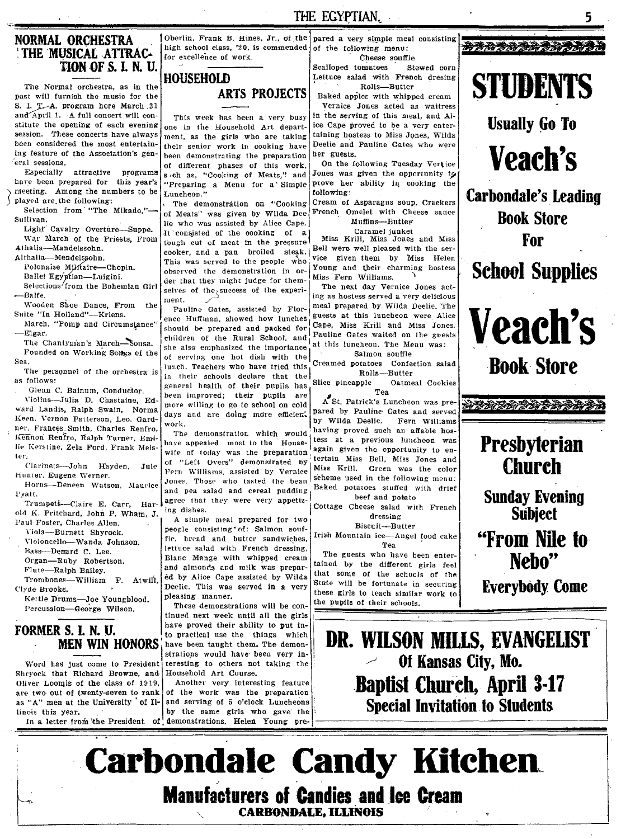#### **NORMAL ORCHESTRA** THE MUSICAL ATTRAC-TION OF S. I. N. U.

The Normal orchestra, as in the past will furnish the music for the S. I. T.A. program here March 31 and April 1. A full concert will constitute the opening of each evening session. These concerts have always been considered the most entertaining feature of the Association's gen-.<br>eral sessions.

Especially attractive programs have been prepared for this year's meeting. Among the numbers to be played are the following:

Selection from "The Mikado." Sullivan.

Light Cavalry Overture-Suppe. War March of the Priests, From Athalia-Mandelssohn.

Althalia-Mendelssohn.

Polonaise Militaire-Chopin.

Ballet Egyptian-Luigini. Selections from the Bohemian Girl -Balfe.

Wooden Shoe Dance, From the Suite "In Holland"---Kriens.

March, "Pomp and Circumstance' Elgar.

The Chantyman's March-Sousa. Founded on Working Songs of the Sea

The personnel of the orchestra is as follows:

Glenn C. Bainum, Conductor. Violins-Julia D. Chastaine, Edward Landis, Ralph Swain, Norma Keen. Vernon Patterson, Leo. Gardner. Frances. Smith, Charles Renfro. Kennon Renfro, Ralph Turner, Emilie Kerstine, Zela Ford, Frank Meister-

Clarinets-John Hayden.  $J$ ule Hunter. Eugene Werner.

Horns-Deneen Watson, Maurice Pyatt.

Trumpets-Claire E. Carr. Harold K. Pritchard, John P. Wham, J. Paul Foster, Charles Allen.

Viola-Burnett Shyrock.

Violoncello-Wanda Johnson. Bass-Demard C. Lee.

Organ-Ruby Robertson. Flute-Ralph Bailey.

Trombones-William P. Atwift, Clyde Brooks. Kettle Drums-Joe Youngblood.

Percussion-George Wilson.

#### FORMER S. I. N. U. **MEN WIN HONORS**

Word has just come to President Shryock that Richard Browne, and Oliver Loomis of the class of 1919, are two out of twenty-seven to rank as "A" men at the University of Illinois this year.

Oberlin. Frank B. Hines. Jr., of the high school class, '20, is commended for excellence of work.

# **HOUSEHOLD**

### **ARTS PROJECTS**

This week has been a very busy one in the Household Art department, as the girls who are taking their senior work in cooking have been demonstrating the preparation of different phases of this work, s eh as, "Cooking of Meats," and "Preparing a Menu for a Simple Luncheon."

The demonstration on "Cooking of Meats" was given by Wilda Dee lie who was assisted by Alice Cape. It consisted of the cooking of a tough cut of meat in the pressure cooker, and a pan broiled steak. This was served to the neople who observed the demonstration in order that they might judge for themselves of the success of the experiment.

Pauline Gates, assisted by Florence Huffman, showed how lunches should be prepared and packed for children of the Rural School, and she also emphasized the importance of serving one hot dish with the lunch. Teachers who have tried this in their schools declare that the general health of their pupils has been improved; their pupils are more willing to go to school on cold days and are doing more efficient. work.

The demonstration which would have appealed most to the Housewife of today was the preparation of "Left Overs" demonstrated by Fern Williams, assisted by Vernice Jones. Those who tasted the bean and pea salad and cereal pudding agree that they were very appetizing dishes.

A simple meal prepared for two people consisting \* of: Salmon souffle. bread and butter sandwiches. lettuce salad with French dressing, Blanc Mange with whipped cream and almonds and milk was prepared by Alice Cape assisted by Wilda Deelie. This was served in a very pleasing manner.

These demonstrations will be continued next week until all the girls have proved their ability to put into practical use the things which have been taught them. The demonstrations would have been very interesting to others not taking the Household Art Course.

Another very interesting feature of the work was the preparation and serving of 5 o'clock Luncheons by the same girls who gave the In a letter from the President of demonstrations. Helen Young pre-

pared a very simple meal consisting of the following menu: Cheese souffle

THE EGYPTIAN.

Scalloned fomatoes Stewed corn Lettuce salad with French dresing Rolls-Butter

Baked apples with whipped cream Vernice Jones acted as waitress

in the serving of this meal, and Alice Cape proved to be a very entertaining hostess to Miss Jones. Wilda Deelie and Pauline Gates who were her guests.

On the following Tuesday Vertice Jones was given the opportunity to prove her ability in cooking the following:

Cream of Asparagus soup. Crackers French Omelet with Cheese sauce Muffins-Butter

Caramel junket

Miss Krill, Miss Jones and Miss Bell were well pleased with the service given them by Miss Helen Young and their charming hostess Miss Fern Williams.

The next day Vernice Jones acting as hostess served a very delicious meal prepared by Wilda Deelie. The guests at this luncheon were Alice Cape, Miss Krill and Miss Jones. Pauline Gates waited on the guests at this luncheon. The Menu was: Salmon souffle

Creamed potatoes Confection salad Rolls-Rutter

Slice pineapple Oatmeal Cookies Tea

A St. Patrick's Luncheon was prepared by Pauline Gates and served by Wilda Deelie. Fern Williams having proved such an affable hostess at a previous luncheon was again given the opportunity to entertain Miss Bell, Miss Jones and Miss Krill. Green was the color scheme used in the following menu: Baked potatoes stuffed with drief beef and potato

Cottage Cheese salad with French dressing

Biscuit-Butter

Irish Mountain ice-Angel food cake Tea

The guests who have been entertained by the different girls feel that some of the schools of the State will be fortunate in securing these girls to teach similar work to the pupils of their schools.

#### **将著语著语表的音乐音乐**



**Usually Go To** 

**Veach's** 

**Carbondale's Leading Book Store** For

**School Supplies** 



**Book Store** 

医格格维奇格洛德格格格

# **Presbyterian Church**

**Sunday Evening Subject** 

"From Nile to Neho"

**Everybody Come** 

DR. WILSON MILLS, EVANGELIST Of Kansas City, Mo. **Baptist Church, April 3-17 Special Invitation to Students** 

**Carbondale Candy Kitchen Manufacturers of Candies and Ice Cream CARBONDALE, ILLINOIS**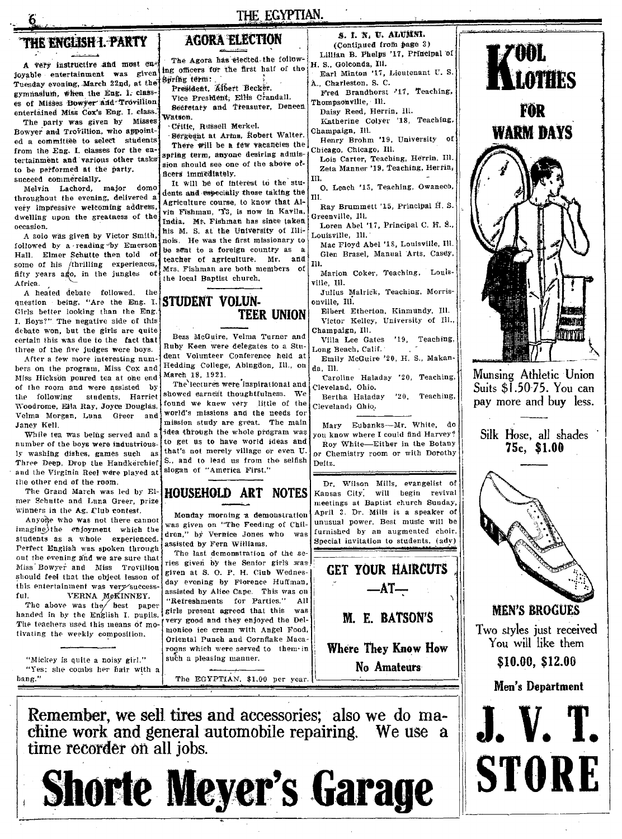# THE ENGLISH I. PARTY

A very instructive and most enjoyable entertainment was given Tuesday evening, March 22nd, at the Spring term: gymnasium, when the Eng. 1. classes of Misses Bowyer and Trovillien entertained Miss Cox's Eng. I. class.

The party was given by Misses Bowver and Trovillion, who appointed a committee to select students from the Eng. I. classes for the entertainment and various other tasks to be performed at the party. succeed commercially.

Melvin Lachord, major domo throughout the evening, delivered a very impressive welcoming address, dwelling upon the greatness of the occasion.

A solo was given by Victor Smith, followed by a reading by Emerson Hall. Elmer Schutte then told of some of his /thrilling experiences, fifty years ago, in the jungles оf Africa.

A heated debate followed, the question being, "Are the Eng. I. Girls better looking than the Eng. I. Boys?" The negative side of this debate won, but the girls are quite certain this was due to the fact that three of the five judges were boys.

After a few more interesting numbers on the program, Miss Cox and Miss Hickson poured tea at one end of the room and were assisted by the following students, Harriet Woodrome, Ella Ray, Joyce Douglas, Velma Morgan, Luna Greer and Janey Kell.

While tea was being served and a number of the boys were industriously washing dishes, games such as Three Deep. Drop the Handkerchief. and the Virginia Reel were played at the other end of the room.

The Grand March was led by Elmer Schutte and Luna Greer, prize winners in the Ag. Club contest.

Anyone who was not there cannot imagine)the enjoyment which the students as a whole experienced. Perfect English was spoken through out the evening and we are sure that Miss Bowyer and Miss Trovillion should feel that the object lesson of this entertainment was very success. VERNA MCKINNEY. ful.

The above was the best paper handed in by the English I. pupils. The teachers used this means of motivating the weekly composition.

"Mickey is quite a noisy girl." "Yes: she combs her hair with a bang."

THE EGYPTIAN.

#### **AGORA ELECTION**

The Agora has elected the following officers for the first half of the President, Albert Becker.

Vice President, Ellis Crandall.

Secretary and Treasurer, Deneen Watson.

Crific, Russell Merkel.

Sergeent at Arms, Robert Walter. There will be a few vacancies the spring term, anyone desiring admission should see one of the above officers immediately.

It will be of interest to the students and especially those taking the Agriculture course, to know that Alvin Fishman. T3, is now in Kavila. India. Mt. Fishman has since taken his M. S. at the University of Illinois. He was the first missionary to be sent to a foreign country as a teacher of agriculture. Mr. and Mrs. Fishman are both members of the local Baptist church.

#### STUDENT VOLUN-**TEER UNION**

Bess McGuire, Velma Turner and Ruby Keen were delegates to a Student Volunteer Conference held at Hedding College, Abingdon, Ill., on March 18, 1921.

The lectures were inspirational and showed earnest thoughtfulness. We found we knew very little of the world's missions and the needs for mission study are great. The main idea through the whole program was to get us to have world ideas and that's not merely village or even U. S., and to lead us from the selfish slogan of "America First."

# **HOUSEHOLD ART NOTES**

Monday morning a demonstration was given on "The Feeding of Children," by Vernice Jones who was assisted by Fern Williams.

The last demonstration of the series given by the Senior girls was given at S. O. P. H. Club Wednesday evening by Florence Huffman, assisted by Alice Cape. This was on "Refreshments for Parties."  $A11$ girls present agreed that this was very good and they enjoyed the Delmonico ice cream with Angel Food. Oriental Punch and Cornflake Macaroons which were served to them in such a pleasing manner.

The EGYPTIAN, \$1.00 per year.

S. I. N. U. ALUMNI. (Continued from page 3)

Lillian B. Phelps '17, Principal of H. S., Goleonda, Ill. Earl Minton '17, Lieutenant U.S.

A., Charleston, S. C. Fred Brandhorst '17, Teaching,

Thompsonville, Ill. Daisy Reed. Herrin, Ill.

Katherine Colyer '18, Teaching, Champaign, Ill.

Henry Brohm '19, University of Chicago, Chicago, Ill.

Lois Carter, Teaching, Herrin, Ill. Zeta Manner '19, Teaching, Herrin,

O. Leach '15, Teaching, Owaneco, IΠ.

Ray Brummett '15, Principal H.S. Greenville, Ill.

Loren Abel '17, Principal C. H. S., Louisville, Ill.

Mac Floyd Abel '18, Louisville, Ill. Glen Brasel, Manual Arts, Casey. T11.

Marion Coker, Teaching, Louisville. Ill.

Julius Malrick, Teaching, Morrisonville, Ill.

Elbert Etherton, Kinmundy, Ill. Victor Kelley, University of Ill., Champaign, Ill.

Villa Lee Gates '19, Teaching, Long Beach, Calif.

Emily McGuire '20, H. S., Makanda. Ill.

Caroline Haladay '20, Teaching, Cleveland. Ohio.

Bertha Haladay '20, Teaching, Cleveland; Ohio.

Mary Eubanks-Mr. White, do you know where I could find Harvey? Roy White-Either in the Botany or Chemistry room or with Dorothy

Deitz.

Dr. Wilson Mills, evangelist of Kansas City, will begin revival meetings at Baptist church Sunday, April 3. Dr. Mills is a speaker of unusual power. Best music will be furnished by an augmented choir. Special invitation to students. (adv)

**GET YOUR HAIRCUTS**  $-AT-$ 

M. E. BATSON'S

**Where They Know How** No Amateurs







700I.



**STORE**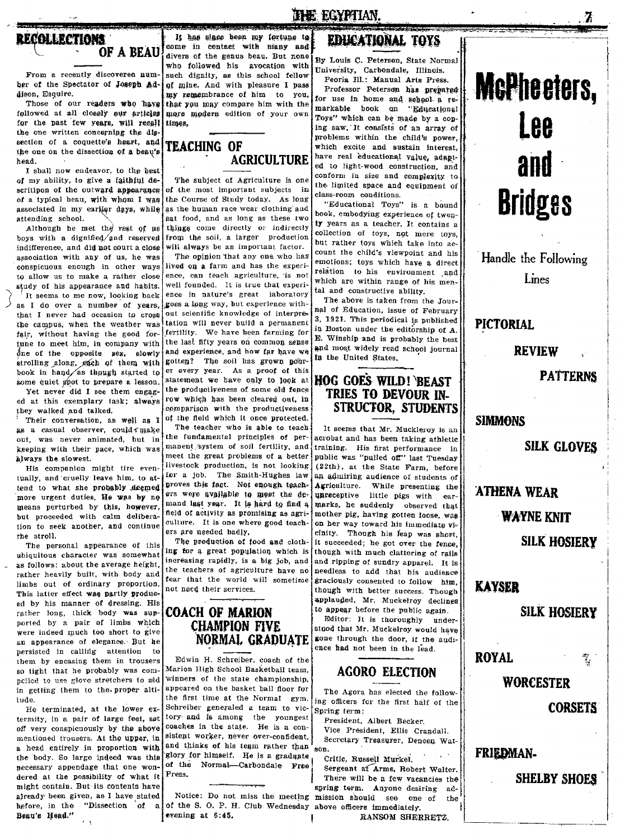# **RECOLLECTIONS** OF A BEAU

From a recently discovered number of the Spectator of Joseph Addison, Esquire.

Those of our readers who have followed at all clossly our articles for the past few years, will recall the one written concerning the digsection of a coquette's heart, and the one on the dissection of a beau's hood

I shall now endeavor, to the best of my ability, to give a faithful descritipon of the outward appearance of a typical beau, with whom I was associated in my earlier days, while attending school.

Although he met the rest of us boys with a dignified/and reserved indifference, and did not court a close association with any of us, he was conspicuous enough in other ways to allow us to make a rather close study of his appearance and habits. It seems to me now, looking back as I do over a number of years, that I never had occasion to cross the campus, when the weather was fair, without having the good fortune to meet him, in company with  $\delta$ ne of the opposite sex, slowly strolling along, each of them with book in hand as though started to some quiet goot to prepare a lesson.

Yet never did I see them engaged at this exemplary task; always they walked and talked.

Their conversation, as well as I as a casual observer, could make out, was never animated, but in keeping with their pace, which was always the slowest.

His companion might tire eventually, and cruelly leave him, to attend to what she probably deemed more urgent duties. He was by no means perturbed by this, however, but proceeded with calm deliberation to seek another, and continue the stroll.

The personal appearance of this ubiquitous character was somewhat as follows: about the average height, rather heavily built, with body and limbs out of ordinary proportion. This latter effect was partly produced by his manner of dressing. His rather long, thick body was supported by a pair of limbs which were indeed much too short to give an appearance of elegance. But he persisted in calling attention to them by encasing them in trousers so tight that he probably was compolled to use glove stretchers to aid in getting them to the proper altitude.

He terminated, at the lower extermity, in a pair of large feet, set off very conspicuously by the above mentioned trousers. At the upper, in a head entirely in proportion with the body. So large indeed was this necessary appendage that one wondered at the possibility of what it might contain. But its contents have already been given, as I have stated before, in the "Dissection of a Beau's Head."

and can be a served as a It has since been my fortune to come in contact with many and divers of the genus beau. But none who followed his avocation with such dignity, as this school fellow of mine. And with pleasure I pass my remembrance of him to you, that you may compare him with the more modern edition of your own times.

#### **TEACHING OF AGRICULTURE**

The subject of Agriculture is one of the most important subjects in the Course of Study today. As long as the human race wear clothing and eat food, and as long as these two things come directly or indirectly from the soil, a larger production will always be an important factor.

The opinion that any one who has lived on a farm and has the experience, can teach agriculture, is not well founded. It is true that experience in nature's great laboratory goes a long way, but experience without scientific knowledge of interpretation will never build a nermanent fertility. We have been farming for the last fifty years on common sense and experience, and how far have we gotten? The soil has grown noorer every year. As a proof of this statement we have only to look at the productiveness of some old fence row which has been cleared out, in comparison with the productiveness of the field which it once protected.

The teacher who is able to teach the fundamental principles of permanent/system of soil fertility, and meet the great problems of a better livestock production, is not looking for a job. The Smith-Hughes law proves this fact. Not enough teachers were available to meet the demand last year. It is hard to find a field of activity as promising as agriculture. It is one where good teachers are needed badly,

The production of food and clothing for a great population which is increasing rapidly, is a big job, and the teachers of agriculture have no fear that the world will sometime not need their services.

#### **COACH OF MARION CHAMPION FIVE** NORMAL GRADUATE

Edwin H. Schreiber, coach of the Marion High School Basketball team. winners of the state championship, appeared on the basket ball floor for the first time at the Normal gym. Schreiber generaled a team to victory and is among the youngest coaches in the state. He is a consistent worker, never over-confident. and thinks of his team rather than son. glory for himself. He is a graduate of the Normal-Carbondale Free Press.

Notice: Do not miss the meeting mission should see one of of the S. O. P. H. Club Wednesday above officers immediately. evening at 6:45.

# **THE EGYPTIAN** EDHCATIONAL TOYS

By Louis C. Peterson, State Normal University, Carbondale, Illinois.

Peoria Ill.: Manual Arts Press. Professor Peterson has prepared for use in home and sehool a remarkable book on "Educational Toys" which can be made by a coning saw. It consists of an array of problems within the child's power. which excite and sustain interest, have real educational value, adapted to light-wood construction, and conform in size and complexity to the limited space and equipment of class-room conditions.

"Educational Toys" is a bound book, embodying experience of twenty years as a teacher. It contains a collection of toys, not mere toys, but rather toys which take into account the child's viewpoint and his emotions; toys which have a direct relation to his environment and which are within range of his mental and constructive ability.

The above is taken from the Journal of Education, issue of February 3, 1921. This periodical is published in Boston under the editorship of A. E. Winship and is probably the best and most widely read school journal in the United States.

#### **HOG GOES WILD! BEAST TRIES TO DEVOUR IN-STRUCTOR. STUDENTS**

It seems that Mr. Muckleroy is an acrobat and has been taking athletic training. His first performance in public was "pulled off" last Tuesday (22th), at the State Farm, before an admiring audience of students of Agriculture. While presenting the unreceptive little pigs with earmarks, he suddenly observed that mother pig, having gotten loose, was on her way toward his immediate vicinity. Though his feap was short, it succeeded; he got over the fence. though with much clattering of rails and ripping of sundry apparel. It is needless to add that his audience graciously consented to follow him. though with better success. Though applauded, Mr. Muckelroy declines to appear before the public again. Editor: It is thoroughly under-

stood that Mr. Muckelroy would have gone through the door, if the audience had not been in the lead.

### **AGORO ELECTION**

The Agora has elected the following officers for the first half of the Spring term:

President, Albert Becker. Vice President, Ellis Crandall. Secretary Treasurer, Deneen Wat-

Critic, Russell Murkel. Sergeant at Arms, Robert Walter.

There will be a few vacancies the spring term. Anyone desiring adthe

RANSOM SHERRETZ.



Handle the Following Lines

**PICTORIAL** 

**REVIEW** 

**PATTERNS** 

#### **SIMMONS**

**SILK GLOVES** 

**ATHENA WEAR** 

**WAYNE KNIT** 

**SILK HOSIERY** 

**KAYSER** 

#### **SILK HOSIERY**

**ROYAL** 

曳

**WORCESTER** 

**CORSETS** 

#### **FRIEDMAN-**

**SHELBY SHOES**